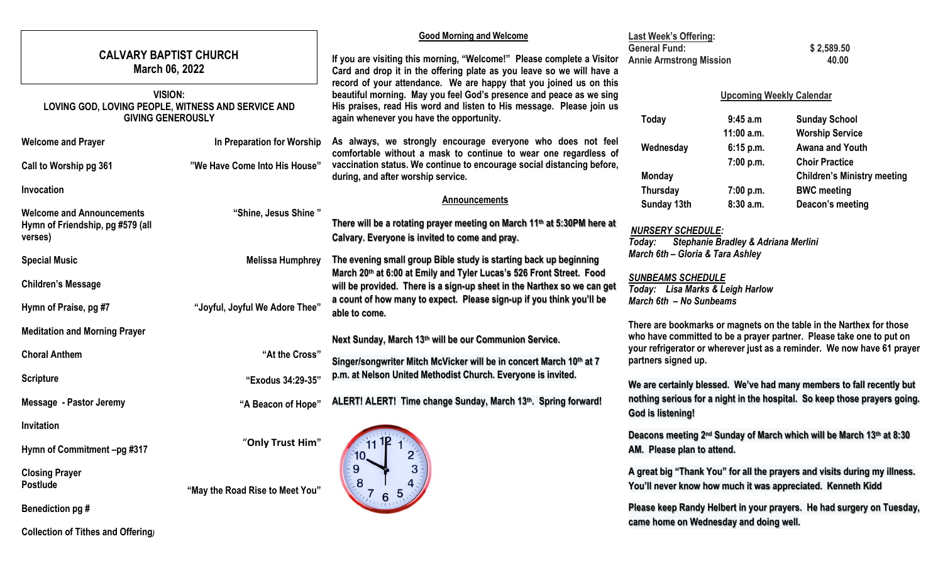| <b>CALVARY BAPTIST CHURCH</b><br>March 06, 2022                                                  |                                                             | <b>Good Morning and Welcome</b><br>If you are visiting this morning, "Welcome!" Please complete a Visitor<br>Card and drop it in the offering plate as you leave so we will have a<br>record of your attendance. We are happy that you joined us on this<br>beautiful morning. May you feel God's presence and peace as we sing<br>His praises, read His word and listen to His message. Please join us<br>again whenever you have the opportunity. | <b>Last Week's Offering:</b><br><b>General Fund:</b><br><b>Annie Armstrong Mission</b>                                                                                                                                                                                    |                                        | \$2,589.50<br>40.00                                                          |
|--------------------------------------------------------------------------------------------------|-------------------------------------------------------------|-----------------------------------------------------------------------------------------------------------------------------------------------------------------------------------------------------------------------------------------------------------------------------------------------------------------------------------------------------------------------------------------------------------------------------------------------------|---------------------------------------------------------------------------------------------------------------------------------------------------------------------------------------------------------------------------------------------------------------------------|----------------------------------------|------------------------------------------------------------------------------|
| <b>VISION:</b><br>LOVING GOD, LOVING PEOPLE, WITNESS AND SERVICE AND<br><b>GIVING GENEROUSLY</b> |                                                             |                                                                                                                                                                                                                                                                                                                                                                                                                                                     | <b>Upcoming Weekly Calendar</b><br>Today<br>9:45a.m<br><b>Sunday School</b>                                                                                                                                                                                               |                                        |                                                                              |
| <b>Welcome and Prayer</b><br>Call to Worship pg 361                                              | In Preparation for Worship<br>"We Have Come Into His House" | As always, we strongly encourage everyone who does not feel<br>comfortable without a mask to continue to wear one regardless of<br>vaccination status. We continue to encourage social distancing before,                                                                                                                                                                                                                                           | Wednesday                                                                                                                                                                                                                                                                 | $11:00$ a.m.<br>6:15 p.m.<br>7:00 p.m. | <b>Worship Service</b><br><b>Awana and Youth</b><br><b>Choir Practice</b>    |
| Invocation<br><b>Welcome and Announcements</b>                                                   | "Shine, Jesus Shine"                                        | during, and after worship service.<br><b>Announcements</b>                                                                                                                                                                                                                                                                                                                                                                                          | <b>Monday</b><br>Thursday<br>Sunday 13th                                                                                                                                                                                                                                  | 7:00 p.m.<br>8:30 a.m.                 | <b>Children's Ministry meeting</b><br><b>BWC meeting</b><br>Deacon's meeting |
| Hymn of Friendship, pg #579 (all<br>verses)                                                      |                                                             | There will be a rotating prayer meeting on March 11th at 5:30PM here at<br>Calvary. Everyone is invited to come and pray.                                                                                                                                                                                                                                                                                                                           | <b>NURSERY SCHEDULE:</b><br>Stephanie Bradley & Adriana Merlini<br>Today:<br>March 6th - Gloria & Tara Ashley<br><b>SUNBEAMS SCHEDULE</b><br>Today: Lisa Marks & Leigh Harlow<br>March 6th - No Sunbeams                                                                  |                                        |                                                                              |
| <b>Special Music</b><br><b>Children's Message</b>                                                | <b>Melissa Humphrey</b>                                     | The evening small group Bible study is starting back up beginning<br>March 20th at 6:00 at Emily and Tyler Lucas's 526 Front Street. Food<br>will be provided. There is a sign-up sheet in the Narthex so we can get<br>a count of how many to expect. Please sign-up if you think you'll be                                                                                                                                                        |                                                                                                                                                                                                                                                                           |                                        |                                                                              |
| Hymn of Praise, pg #7<br><b>Meditation and Morning Prayer</b>                                    | "Joyful, Joyful We Adore Thee"                              | able to come.<br>Next Sunday, March 13th will be our Communion Service.                                                                                                                                                                                                                                                                                                                                                                             | There are bookmarks or magnets on the table in the Narthex for those<br>who have committed to be a prayer partner. Please take one to put on                                                                                                                              |                                        |                                                                              |
| <b>Choral Anthem</b>                                                                             | "At the Cross"                                              | Singer/songwriter Mitch McVicker will be in concert March 10th at 7<br>p.m. at Nelson United Methodist Church. Everyone is invited.                                                                                                                                                                                                                                                                                                                 | your refrigerator or wherever just as a reminder. We now have 61 prayer<br>partners signed up.<br>We are certainly blessed. We've had many members to fall recently but<br>nothing serious for a night in the hospital. So keep those prayers going.<br>God is listening! |                                        |                                                                              |
| <b>Scripture</b><br><b>Message - Pastor Jeremy</b>                                               | "Exodus 34:29-35"<br>"A Beacon of Hope"                     | ALERT! ALERT! Time change Sunday, March 13th. Spring forward!                                                                                                                                                                                                                                                                                                                                                                                       |                                                                                                                                                                                                                                                                           |                                        |                                                                              |
| Invitation<br>Hymn of Commitment -pg #317                                                        | "Only Trust Him"                                            | $\overline{2}$                                                                                                                                                                                                                                                                                                                                                                                                                                      | Deacons meeting 2 <sup>nd</sup> Sunday of March which will be March 13th at 8:30<br>AM. Please plan to attend.                                                                                                                                                            |                                        |                                                                              |
| <b>Closing Prayer</b><br><b>Postlude</b>                                                         | "May the Road Rise to Meet You"                             | 10.<br>9<br>$\overline{3}$<br>8<br>6                                                                                                                                                                                                                                                                                                                                                                                                                | A great big "Thank You" for all the prayers and visits during my illness.<br>You'll never know how much it was appreciated. Kenneth Kidd                                                                                                                                  |                                        |                                                                              |
| Benediction pg #<br><b>Collection of Tithes and Offering)</b>                                    |                                                             |                                                                                                                                                                                                                                                                                                                                                                                                                                                     | Please keep Randy Helbert in your prayers. He had surgery on Tuesday,<br>came home on Wednesday and doing well.                                                                                                                                                           |                                        |                                                                              |